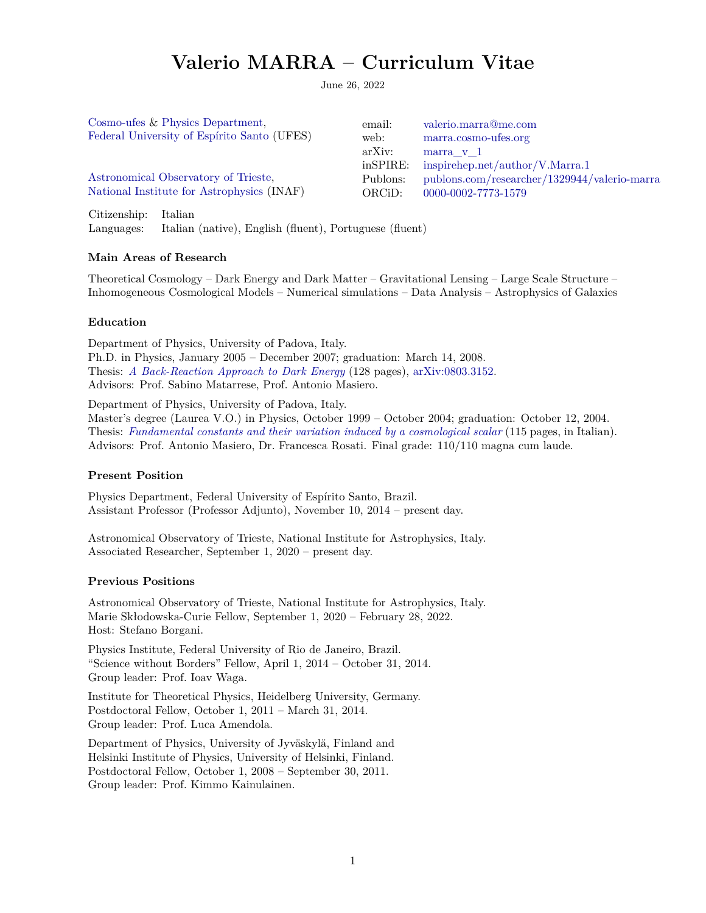### **Valerio MARRA – Curriculum Vitae**

June 26, 2022

| Cosmo-ufes & Physics Department,            | email:   | valerio.marra@me.com                         |
|---------------------------------------------|----------|----------------------------------------------|
| Federal University of Espírito Santo (UFES) | web:     | marra.cosmo-ufes.org                         |
|                                             | arXiv:   | marra $v1$                                   |
|                                             | inSPIRE: | inspirehep.net/author/V.Marra.1              |
| Astronomical Observatory of Trieste,        | Publons: | publons.com/researcher/1329944/valerio-marra |
| National Institute for Astrophysics (INAF)  | ORCiD:   | 0000-0002-7773-1579                          |
|                                             |          |                                              |

Citizenship: Italian Languages: Italian (native), English (fluent), Portuguese (fluent)

#### **Main Areas of Research**

Theoretical Cosmology – Dark Energy and Dark Matter – Gravitational Lensing – Large Scale Structure – Inhomogeneous Cosmological Models – Numerical simulations – Data Analysis – Astrophysics of Galaxies

#### **Education**

Department of Physics, University of Padova, Italy. Ph.D. in Physics, January 2005 – December 2007; graduation: March 14, 2008. Thesis: *[A Back-Reaction Approach to Dark Energy](http://paduaresearch.cab.unipd.it/588)* (128 pages), [arXiv:0803.3152.](http://arxiv.org/abs/0803.3152) Advisors: Prof. Sabino Matarrese, Prof. Antonio Masiero.

Department of Physics, University of Padova, Italy.

Master's degree (Laurea V.O.) in Physics, October 1999 – October 2004; graduation: October 12, 2004. Thesis: *[Fundamental constants and their variation induced by a cosmological scalar](http://www.turbogl.org/stuff/MThesis.pdf)* (115 pages, in Italian). Advisors: Prof. Antonio Masiero, Dr. Francesca Rosati. Final grade: 110/110 magna cum laude.

#### **Present Position**

Physics Department, Federal University of Espírito Santo, Brazil. Assistant Professor (Professor Adjunto), November 10, 2014 – present day.

Astronomical Observatory of Trieste, National Institute for Astrophysics, Italy. Associated Researcher, September 1, 2020 – present day.

#### **Previous Positions**

Astronomical Observatory of Trieste, National Institute for Astrophysics, Italy. Marie Skłodowska-Curie Fellow, September 1, 2020 – February 28, 2022. Host: Stefano Borgani.

Physics Institute, Federal University of Rio de Janeiro, Brazil. "Science without Borders" Fellow, April 1, 2014 – October 31, 2014. Group leader: Prof. Ioav Waga.

Institute for Theoretical Physics, Heidelberg University, Germany. Postdoctoral Fellow, October 1, 2011 – March 31, 2014. Group leader: Prof. Luca Amendola.

Department of Physics, University of Jyväskylä, Finland and Helsinki Institute of Physics, University of Helsinki, Finland. Postdoctoral Fellow, October 1, 2008 – September 30, 2011. Group leader: Prof. Kimmo Kainulainen.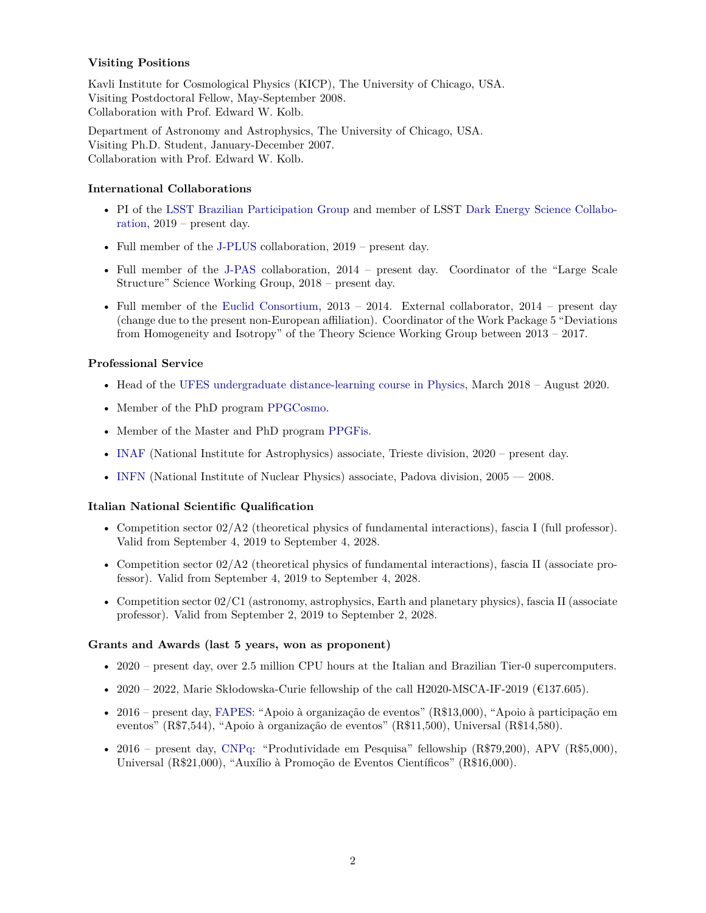#### **Visiting Positions**

Kavli Institute for Cosmological Physics (KICP), The University of Chicago, USA. Visiting Postdoctoral Fellow, May-September 2008. Collaboration with Prof. Edward W. Kolb.

Department of Astronomy and Astrophysics, The University of Chicago, USA. Visiting Ph.D. Student, January-December 2007. Collaboration with Prof. Edward W. Kolb.

#### **International Collaborations**

- PI of the [LSST Brazilian Participation Group](https://linea.gov.br/010-ciencia/projetos/4-lsst/brasil-na-era-do-lsst/) and member of LSST [Dark Energy Science Collabo](https://srs.slac.stanford.edu/GroupManager/exp/LSST-DESC/protected/contactList.jsp)[ration,](https://srs.slac.stanford.edu/GroupManager/exp/LSST-DESC/protected/contactList.jsp) 2019 – present day.
- Full member of the [J-PLUS](https://j-plus.es/collaboration) collaboration, 2019 present day.
- Full member of the [J-PAS](http://www.j-pas.org/collaboration/structure) collaboration, 2014 present day. Coordinator of the "Large Scale Structure" Science Working Group, 2018 – present day.
- Full member of the [Euclid Consortium,](https://www.euclid-ec.org) 2013 2014. External collaborator, 2014 present day (change due to the present non-European affiliation). Coordinator of the Work Package 5 "Deviations from Homogeneity and Isotropy" of the Theory Science Working Group between 2013 – 2017.

#### **Professional Service**

- Head of the [UFES undergraduate distance-learning course in Physics,](https://sead.ufes.br/cursos/fisica/) March 2018 August 2020.
- Member of the PhD program [PPGCosmo.](https://cosmologia.ufes.br/pt-br/pos-graduacao/PPGCosmo)
- Member of the Master and PhD program [PPGFis.](https://fisica.ufes.br/pt-br/pos-graduacao/PPGFis)
- [INAF](http://www.inaf.it) (National Institute for Astrophysics) associate, Trieste division, 2020 present day.
- [INFN](http://www.infn.it) (National Institute of Nuclear Physics) associate, Padova division,  $2005 2008$ .

#### **Italian National Scientific Qualification**

- Competition sector 02/A2 (theoretical physics of fundamental interactions), fascia I (full professor). Valid from September 4, 2019 to September 4, 2028.
- Competition sector 02/A2 (theoretical physics of fundamental interactions), fascia II (associate professor). Valid from September 4, 2019 to September 4, 2028.
- Competition sector 02/C1 (astronomy, astrophysics, Earth and planetary physics), fascia II (associate professor). Valid from September 2, 2019 to September 2, 2028.

#### **Grants and Awards (last 5 years, won as proponent)**

- 2020 present day, over 2.5 million CPU hours at the Italian and Brazilian Tier-0 supercomputers.
- 2020 2022, Marie Skłodowska-Curie fellowship of the call H2020-MSCA-IF-2019 ( $\epsilon$ 137.605).
- 2016 present day, [FAPES:](https://fapes.es.gov.br) "Apoio à organização de eventos" (R\$13,000), "Apoio à participação em eventos" (R\$7,544), "Apoio à organização de eventos" (R\$11,500), Universal (R\$14,580).
- 2016 present day, [CNPq:](http://cnpq.br) "Produtividade em Pesquisa" fellowship (R\$79,200), APV (R\$5,000), Universal (R\$21,000), "Auxílio à Promoção de Eventos Científicos" (R\$16,000).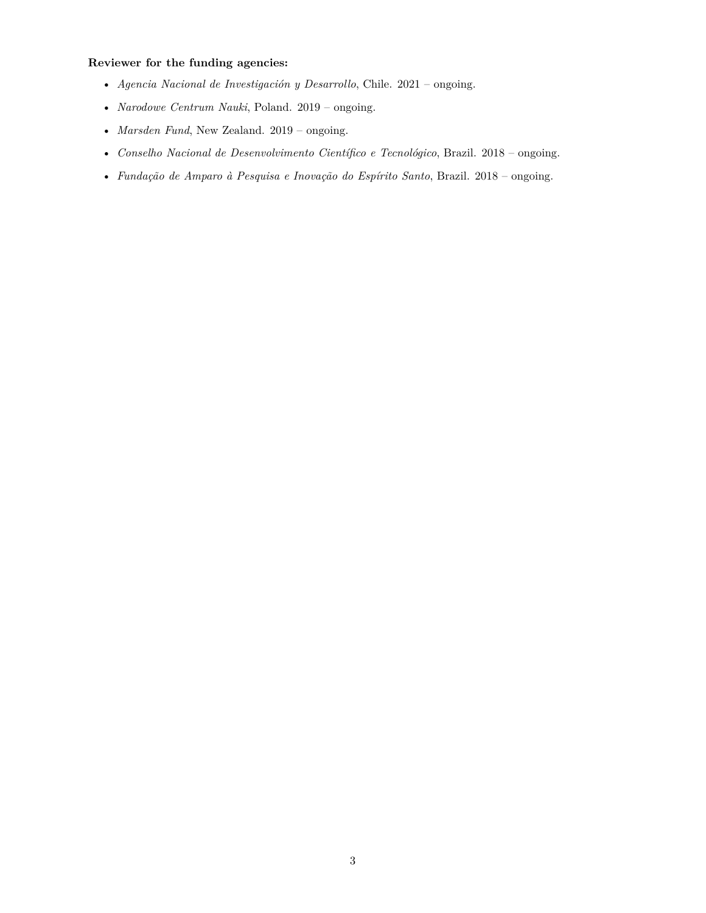#### **Reviewer for the funding agencies:**

- *Agencia Nacional de Investigación y Desarrollo*, Chile. 2021 ongoing.
- *Narodowe Centrum Nauki*, Poland. 2019 ongoing.
- *Marsden Fund*, New Zealand. 2019 ongoing.
- *Conselho Nacional de Desenvolvimento Científico e Tecnológico*, Brazil. 2018 ongoing.
- *Fundação de Amparo à Pesquisa e Inovação do Espírito Santo*, Brazil. 2018 ongoing.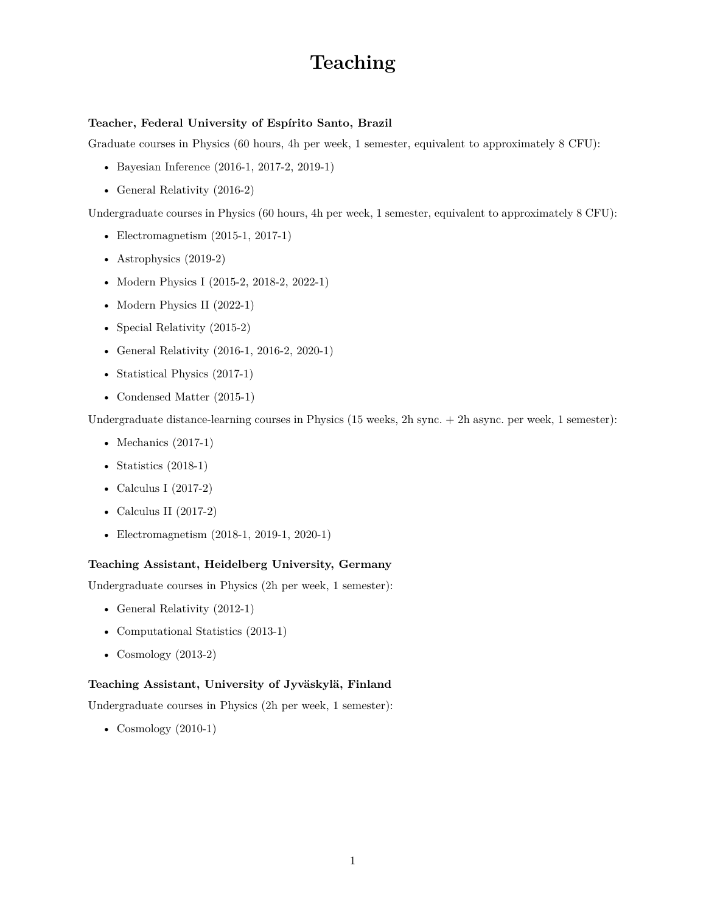### **Teaching**

#### **Teacher, Federal University of Espírito Santo, Brazil**

Graduate courses in Physics (60 hours, 4h per week, 1 semester, equivalent to approximately 8 CFU):

- Bayesian Inference (2016-1, 2017-2, 2019-1)
- General Relativity (2016-2)

Undergraduate courses in Physics (60 hours, 4h per week, 1 semester, equivalent to approximately 8 CFU):

- Electromagnetism (2015-1, 2017-1)
- Astrophysics (2019-2)
- Modern Physics I (2015-2, 2018-2, 2022-1)
- Modern Physics II (2022-1)
- Special Relativity (2015-2)
- General Relativity (2016-1, 2016-2, 2020-1)
- Statistical Physics (2017-1)
- Condensed Matter (2015-1)

Undergraduate distance-learning courses in Physics (15 weeks, 2h sync. + 2h async. per week, 1 semester):

- Mechanics (2017-1)
- Statistics (2018-1)
- Calculus I (2017-2)
- Calculus II (2017-2)
- Electromagnetism (2018-1, 2019-1, 2020-1)

#### **Teaching Assistant, Heidelberg University, Germany**

Undergraduate courses in Physics (2h per week, 1 semester):

- General Relativity (2012-1)
- Computational Statistics (2013-1)
- Cosmology (2013-2)

#### **Teaching Assistant, University of Jyväskylä, Finland**

Undergraduate courses in Physics (2h per week, 1 semester):

• Cosmology (2010-1)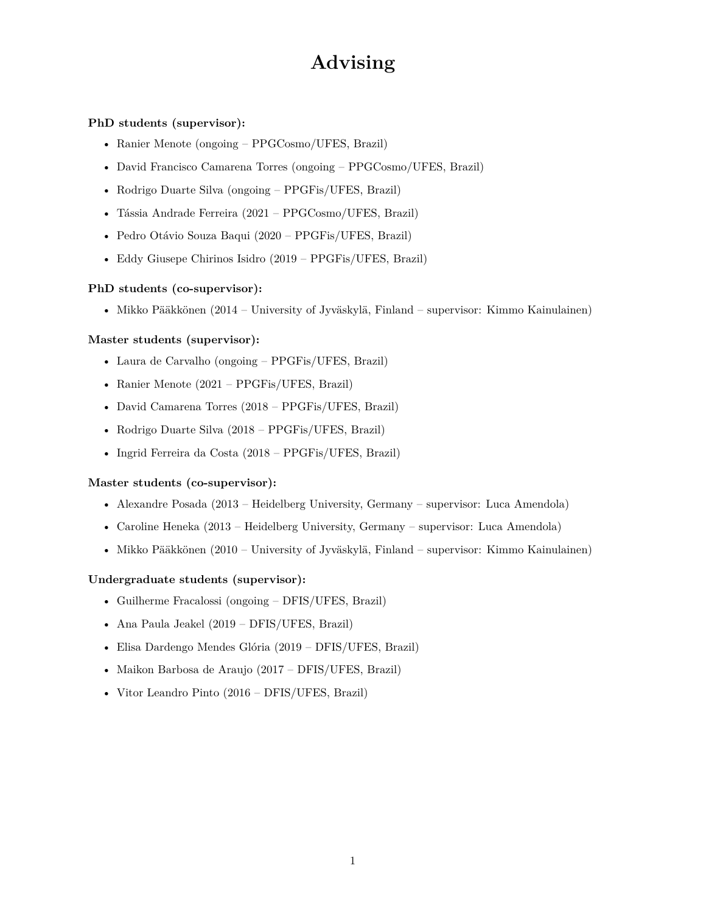### **Advising**

#### **PhD students (supervisor):**

- Ranier Menote (ongoing PPGCosmo/UFES, Brazil)
- David Francisco Camarena Torres (ongoing PPGCosmo/UFES, Brazil)
- Rodrigo Duarte Silva (ongoing PPGFis/UFES, Brazil)
- Tássia Andrade Ferreira (2021 PPGCosmo/UFES, Brazil)
- Pedro Otávio Souza Baqui (2020 PPGFis/UFES, Brazil)
- Eddy Giusepe Chirinos Isidro (2019 PPGFis/UFES, Brazil)

#### **PhD students (co-supervisor):**

• Mikko Pääkkönen (2014 – University of Jyväskylä, Finland – supervisor: Kimmo Kainulainen)

#### **Master students (supervisor):**

- Laura de Carvalho (ongoing PPGFis/UFES, Brazil)
- Ranier Menote (2021 PPGFis/UFES, Brazil)
- David Camarena Torres (2018 PPGFis/UFES, Brazil)
- Rodrigo Duarte Silva (2018 PPGFis/UFES, Brazil)
- Ingrid Ferreira da Costa (2018 PPGFis/UFES, Brazil)

#### **Master students (co-supervisor):**

- Alexandre Posada (2013 Heidelberg University, Germany supervisor: Luca Amendola)
- Caroline Heneka (2013 Heidelberg University, Germany supervisor: Luca Amendola)
- Mikko Pääkkönen (2010 University of Jyväskylä, Finland supervisor: Kimmo Kainulainen)

#### **Undergraduate students (supervisor):**

- Guilherme Fracalossi (ongoing DFIS/UFES, Brazil)
- Ana Paula Jeakel (2019 DFIS/UFES, Brazil)
- Elisa Dardengo Mendes Glória (2019 DFIS/UFES, Brazil)
- Maikon Barbosa de Araujo (2017 DFIS/UFES, Brazil)
- Vitor Leandro Pinto (2016 DFIS/UFES, Brazil)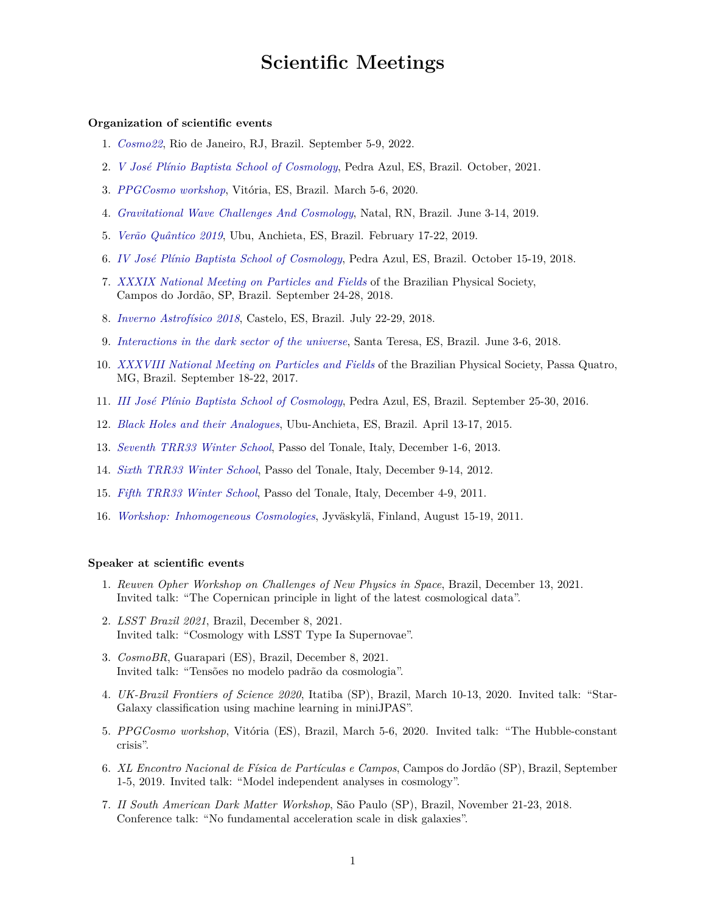### **Scientific Meetings**

#### **Organization of scientific events**

- 1. *[Cosmo22](https://indico.cern.ch/event/886404/)*, Rio de Janeiro, RJ, Brazil. September 5-9, 2022.
- 2. *[V José Plínio Baptista School of Cosmology](http://www.cosmo-ufes.org/jpbcosmo5.html)*, Pedra Azul, ES, Brazil. October, 2021.
- 3. *[PPGCosmo workshop](https://www.cosmo-ufes.org/wacg2020.html)*, Vitória, ES, Brazil. March 5-6, 2020.
- 4. *[Gravitational Wave Challenges And Cosmology](https://www.iip.ufrn.br/eventsdetail.php?inf===QTUFVM)*, Natal, RN, Brazil. June 3-14, 2019.
- 5. *[Verão Quântico 2019](http://www.cosmo-ufes.org/vq2019.html)*, Ubu, Anchieta, ES, Brazil. February 17-22, 2019.
- 6. *[IV José Plínio Baptista School of Cosmology](http://www.cosmo-ufes.org/jpbcosmo4.html)*, Pedra Azul, ES, Brazil. October 15-19, 2018.
- 7. *[XXXIX National Meeting on Particles and Fields](http://www.sbfisica.org.br/~enfpc/xxxix/index.php/en/)* of the Brazilian Physical Society, Campos do Jordão, SP, Brazil. September 24-28, 2018.
- 8. *[Inverno Astrofísico 2018](http://www.cosmo-ufes.org/ia2018.html)*, Castelo, ES, Brazil. July 22-29, 2018.
- 9. *[Interactions in the dark sector of the universe](http://www.cosmo-ufes.org/winfried.html)*, Santa Teresa, ES, Brazil. June 3-6, 2018.
- 10. *[XXXVIII National Meeting on Particles and Fields](http://www.sbfisica.org.br/~enfpc/xxxviii/index.php/en/)* of the Brazilian Physical Society, Passa Quatro, MG, Brazil. September 18-22, 2017.
- 11. *[III José Plínio Baptista School of Cosmology](http://www.cosmo-ufes.org/jpbcosmo3.html)*, Pedra Azul, ES, Brazil. September 25-30, 2016.
- 12. *[Black Holes and their Analogues](http://www.cosmo-ufes.org/bh2015.html)*, Ubu-Anchieta, ES, Brazil. April 13-17, 2015.
- 13. *[Seventh TRR33 Winter School](http://darkuniverse.uni-hd.de/view/Main/WinterSchool13)*, Passo del Tonale, Italy, December 1-6, 2013.
- 14. *[Sixth TRR33 Winter School](http://darkuniverse.uni-hd.de/view/Main/WinterSchool12)*, Passo del Tonale, Italy, December 9-14, 2012.
- 15. *[Fifth TRR33 Winter School](http://darkuniverse.uni-hd.de/view/Main/WinterSchool11)*, Passo del Tonale, Italy, December 4-9, 2011.
- 16. *[Workshop: Inhomogeneous Cosmologies](http://users.jyu.fi/~kainulai/Sites/InhomogeneousCosmologies/)*, Jyväskylä, Finland, August 15-19, 2011.

#### **Speaker at scientific events**

- 1. *Reuven Opher Workshop on Challenges of New Physics in Space*, Brazil, December 13, 2021. Invited talk: "The Copernican principle in light of the latest cosmological data".
- 2. *LSST Brazil 2021*, Brazil, December 8, 2021. Invited talk: "Cosmology with LSST Type Ia Supernovae".
- 3. *CosmoBR*, Guarapari (ES), Brazil, December 8, 2021. Invited talk: "Tensões no modelo padrão da cosmologia".
- 4. *UK-Brazil Frontiers of Science 2020*, Itatiba (SP), Brazil, March 10-13, 2020. Invited talk: "Star-Galaxy classification using machine learning in miniJPAS".
- 5. *PPGCosmo workshop*, Vitória (ES), Brazil, March 5-6, 2020. Invited talk: "The Hubble-constant crisis".
- 6. *XL Encontro Nacional de Física de Partículas e Campos*, Campos do Jordão (SP), Brazil, September 1-5, 2019. Invited talk: "Model independent analyses in cosmology".
- 7. *II South American Dark Matter Workshop*, São Paulo (SP), Brazil, November 21-23, 2018. Conference talk: "No fundamental acceleration scale in disk galaxies".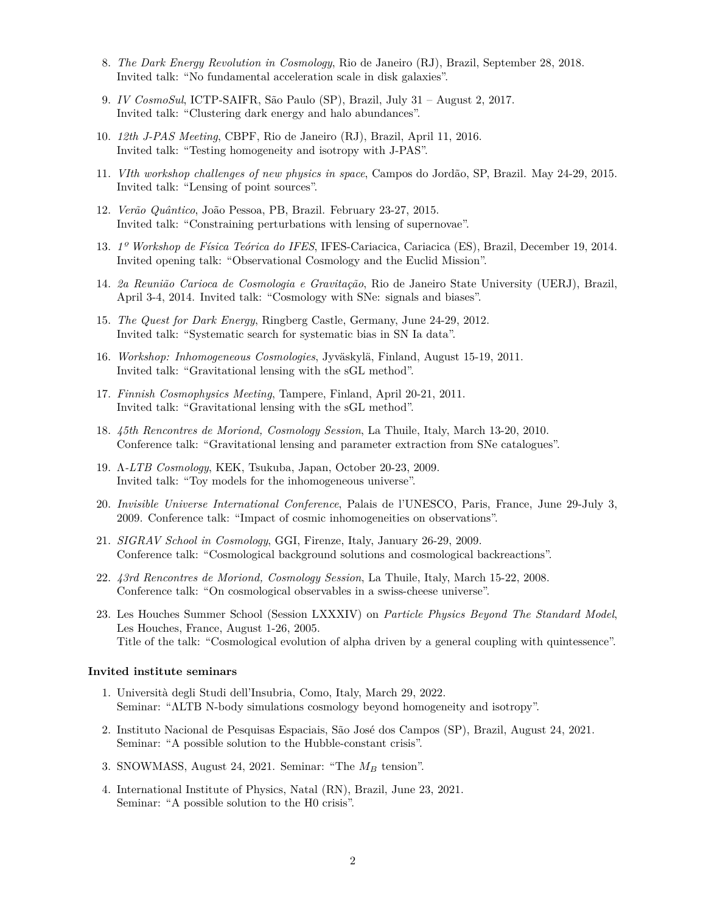- 8. *The Dark Energy Revolution in Cosmology*, Rio de Janeiro (RJ), Brazil, September 28, 2018. Invited talk: "No fundamental acceleration scale in disk galaxies".
- 9. *IV CosmoSul*, ICTP-SAIFR, São Paulo (SP), Brazil, July 31 August 2, 2017. Invited talk: "Clustering dark energy and halo abundances".
- 10. *12th J-PAS Meeting*, CBPF, Rio de Janeiro (RJ), Brazil, April 11, 2016. Invited talk: "Testing homogeneity and isotropy with J-PAS".
- 11. *VIth workshop challenges of new physics in space*, Campos do Jordão, SP, Brazil. May 24-29, 2015. Invited talk: "Lensing of point sources".
- 12. *Verão Quântico*, João Pessoa, PB, Brazil. February 23-27, 2015. Invited talk: "Constraining perturbations with lensing of supernovae".
- 13. *1º Workshop de Física Teórica do IFES*, IFES-Cariacica, Cariacica (ES), Brazil, December 19, 2014. Invited opening talk: "Observational Cosmology and the Euclid Mission".
- 14. *2a Reunião Carioca de Cosmologia e Gravitação*, Rio de Janeiro State University (UERJ), Brazil, April 3-4, 2014. Invited talk: "Cosmology with SNe: signals and biases".
- 15. *The Quest for Dark Energy*, Ringberg Castle, Germany, June 24-29, 2012. Invited talk: "Systematic search for systematic bias in SN Ia data".
- 16. *Workshop: Inhomogeneous Cosmologies*, Jyväskylä, Finland, August 15-19, 2011. Invited talk: "Gravitational lensing with the sGL method".
- 17. *Finnish Cosmophysics Meeting*, Tampere, Finland, April 20-21, 2011. Invited talk: "Gravitational lensing with the sGL method".
- 18. *45th Rencontres de Moriond, Cosmology Session*, La Thuile, Italy, March 13-20, 2010. Conference talk: "Gravitational lensing and parameter extraction from SNe catalogues".
- 19. Λ*-LTB Cosmology*, KEK, Tsukuba, Japan, October 20-23, 2009. Invited talk: "Toy models for the inhomogeneous universe".
- 20. *Invisible Universe International Conference*, Palais de l'UNESCO, Paris, France, June 29-July 3, 2009. Conference talk: "Impact of cosmic inhomogeneities on observations".
- 21. *SIGRAV School in Cosmology*, GGI, Firenze, Italy, January 26-29, 2009. Conference talk: "Cosmological background solutions and cosmological backreactions".
- 22. *43rd Rencontres de Moriond, Cosmology Session*, La Thuile, Italy, March 15-22, 2008. Conference talk: "On cosmological observables in a swiss-cheese universe".
- 23. Les Houches Summer School (Session LXXXIV) on *Particle Physics Beyond The Standard Model*, Les Houches, France, August 1-26, 2005. Title of the talk: "Cosmological evolution of alpha driven by a general coupling with quintessence".

#### **Invited institute seminars**

- 1. Università degli Studi dell'Insubria, Como, Italy, March 29, 2022. Seminar: "ΛLTB N-body simulations cosmology beyond homogeneity and isotropy".
- 2. Instituto Nacional de Pesquisas Espaciais, São José dos Campos (SP), Brazil, August 24, 2021. Seminar: "A possible solution to the Hubble-constant crisis".
- 3. SNOWMASS, August 24, 2021. Seminar: "The *M<sup>B</sup>* tension".
- 4. International Institute of Physics, Natal (RN), Brazil, June 23, 2021. Seminar: "A possible solution to the H0 crisis".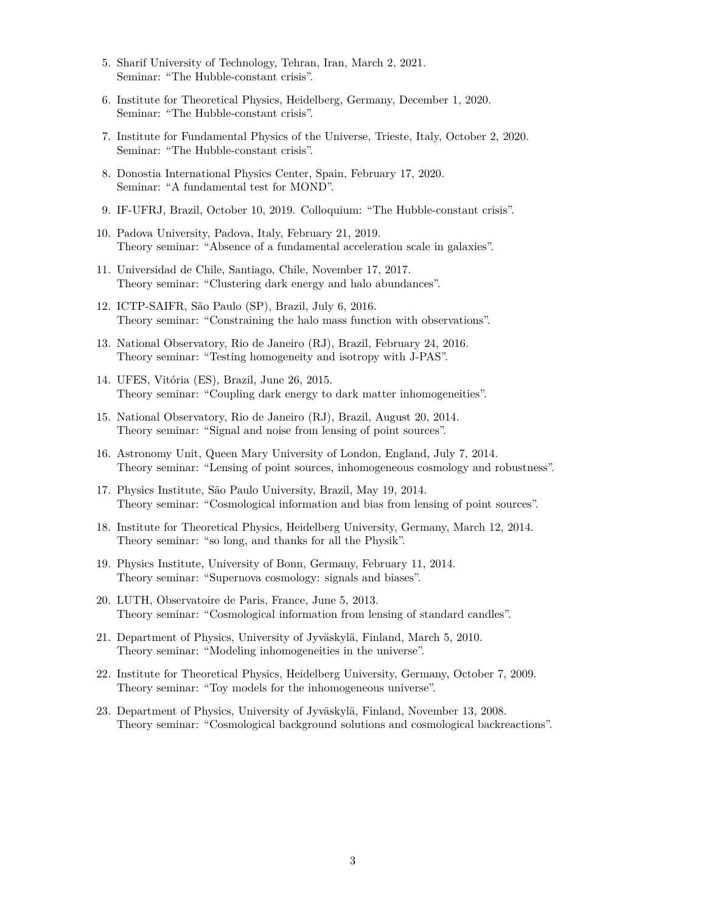- 5. Sharif University of Technology, Tehran, Iran, March 2, 2021. Seminar: "The Hubble-constant crisis".
- 6. Institute for Theoretical Physics, Heidelberg, Germany, December 1, 2020. Seminar: "The Hubble-constant crisis".
- 7. Institute for Fundamental Physics of the Universe, Trieste, Italy, October 2, 2020. Seminar: "The Hubble-constant crisis".
- 8. Donostia International Physics Center, Spain, February 17, 2020. Seminar: "A fundamental test for MOND".
- 9. IF-UFRJ, Brazil, October 10, 2019. Colloquium: "The Hubble-constant crisis".
- 10. Padova University, Padova, Italy, February 21, 2019. Theory seminar: "Absence of a fundamental acceleration scale in galaxies".
- 11. Universidad de Chile, Santiago, Chile, November 17, 2017. Theory seminar: "Clustering dark energy and halo abundances".
- 12. ICTP-SAIFR, São Paulo (SP), Brazil, July 6, 2016. Theory seminar: "Constraining the halo mass function with observations".
- 13. National Observatory, Rio de Janeiro (RJ), Brazil, February 24, 2016. Theory seminar: "Testing homogeneity and isotropy with J-PAS".
- 14. UFES, Vitória (ES), Brazil, June 26, 2015. Theory seminar: "Coupling dark energy to dark matter inhomogeneities".
- 15. National Observatory, Rio de Janeiro (RJ), Brazil, August 20, 2014. Theory seminar: "Signal and noise from lensing of point sources".
- 16. Astronomy Unit, Queen Mary University of London, England, July 7, 2014. Theory seminar: "Lensing of point sources, inhomogeneous cosmology and robustness".
- 17. Physics Institute, São Paulo University, Brazil, May 19, 2014. Theory seminar: "Cosmological information and bias from lensing of point sources".
- 18. Institute for Theoretical Physics, Heidelberg University, Germany, March 12, 2014. Theory seminar: "so long, and thanks for all the Physik".
- 19. Physics Institute, University of Bonn, Germany, February 11, 2014. Theory seminar: "Supernova cosmology: signals and biases".
- 20. LUTH, Observatoire de Paris, France, June 5, 2013. Theory seminar: "Cosmological information from lensing of standard candles".
- 21. Department of Physics, University of Jyväskylä, Finland, March 5, 2010. Theory seminar: "Modeling inhomogeneities in the universe".
- 22. Institute for Theoretical Physics, Heidelberg University, Germany, October 7, 2009. Theory seminar: "Toy models for the inhomogeneous universe".
- 23. Department of Physics, University of Jyväskylä, Finland, November 13, 2008. Theory seminar: "Cosmological background solutions and cosmological backreactions".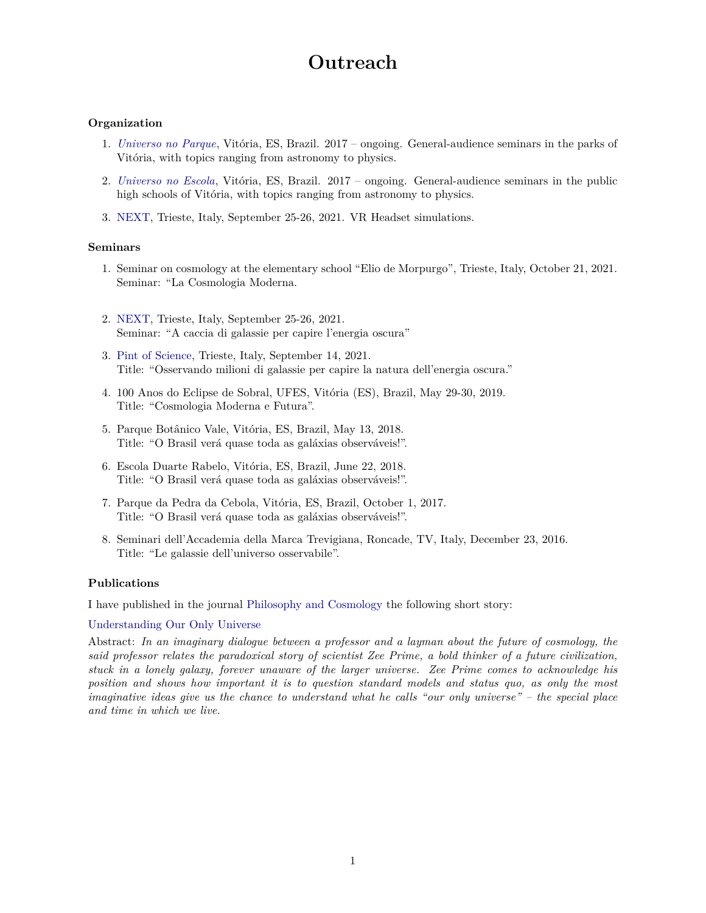### **Outreach**

#### **Organization**

- 1. *[Universo no Parque](https://www.cosmo-ufes.org/universo-no-parque.html)*, Vitória, ES, Brazil. 2017 ongoing. General-audience seminars in the parks of Vitória, with topics ranging from astronomy to physics.
- 2. *[Universo no Escola](https://www.cosmo-ufes.org/universo-na-escola.html)*, Vitória, ES, Brazil. 2017 ongoing. General-audience seminars in the public high schools of Vitória, with topics ranging from astronomy to physics.
- 3. [NEXT,](https://www.triestenext.it/archives/52075) Trieste, Italy, September 25-26, 2021. VR Headset simulations.

#### **Seminars**

- 1. Seminar on cosmology at the elementary school "Elio de Morpurgo", Trieste, Italy, October 21, 2021. Seminar: "La Cosmologia Moderna.
- 2. [NEXT,](https://www.triestenext.it/archives/52075) Trieste, Italy, September 25-26, 2021. Seminar: "A caccia di galassie per capire l'energia oscura"
- 3. [Pint of Science,](https://www.sharper-night.it/evento/conferenza-ricercatori-al-pub/) Trieste, Italy, September 14, 2021. Title: "Osservando milioni di galassie per capire la natura dell'energia oscura."
- 4. 100 Anos do Eclipse de Sobral, UFES, Vitória (ES), Brazil, May 29-30, 2019. Title: "Cosmologia Moderna e Futura".
- 5. Parque Botânico Vale, Vitória, ES, Brazil, May 13, 2018. Title: "O Brasil verá quase toda as galáxias observáveis!".
- 6. Escola Duarte Rabelo, Vitória, ES, Brazil, June 22, 2018. Title: "O Brasil verá quase toda as galáxias observáveis!".
- 7. Parque da Pedra da Cebola, Vitória, ES, Brazil, October 1, 2017. Title: "O Brasil verá quase toda as galáxias observáveis!".
- 8. Seminari dell'Accademia della Marca Trevigiana, Roncade, TV, Italy, December 23, 2016. Title: "Le galassie dell'universo osservabile".

#### **Publications**

I have published in the journal [Philosophy and Cosmology](http://ispcjournal.org) the following short story:

#### [Understanding Our Only Universe](http://marra.cosmo-ufes.org/uploads/1/3/7/0/13701821/marra_19.pdf)

Abstract: *In an imaginary dialogue between a professor and a layman about the future of cosmology, the said professor relates the paradoxical story of scientist Zee Prime, a bold thinker of a future civilization, stuck in a lonely galaxy, forever unaware of the larger universe. Zee Prime comes to acknowledge his position and shows how important it is to question standard models and status quo, as only the most imaginative ideas give us the chance to understand what he calls "our only universe" – the special place and time in which we live.*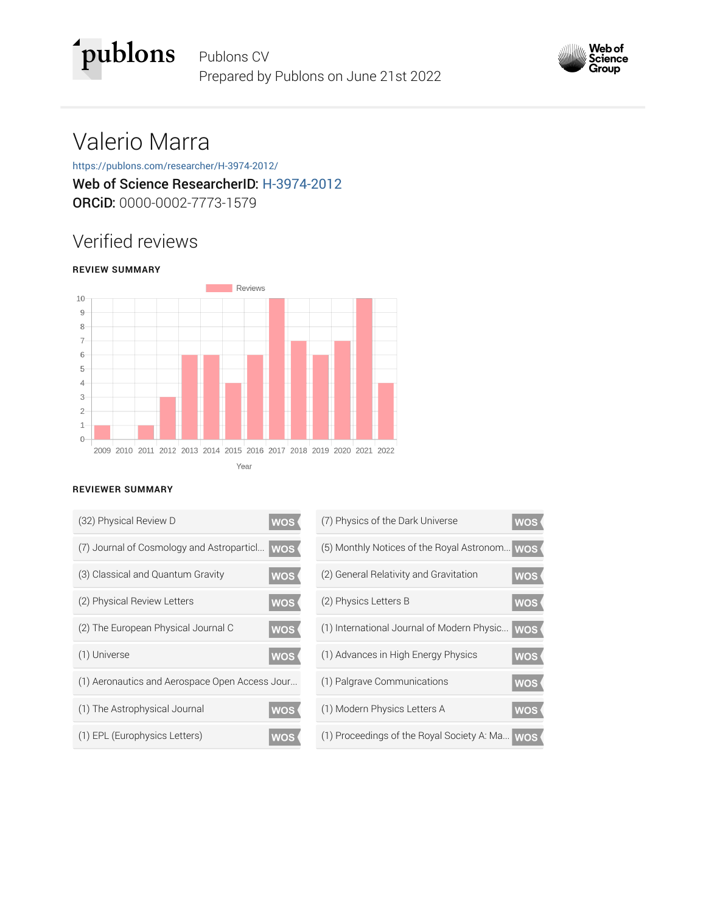



# Valerio Marra

### https://publons.com/researcher/H-3974-2012/ Web of Science ResearcherID: H-3974-2012 ORCiD: 0000-0002-7773-1579

## Verified reviews

#### **REVIEW SUMMARY**



#### **REVIEWER SUMMARY**

| (32) Physical Review D<br><b>WOS</b>                    | (7) Physics of the Dark Universe           |
|---------------------------------------------------------|--------------------------------------------|
| (7) Journal of Cosmology and Astroparticl<br><b>WOS</b> | (5) Monthly Notices of the Royal Astronom  |
| (3) Classical and Quantum Gravity<br><b>WOS</b>         | (2) General Relativity and Gravitation     |
| (2) Physical Review Letters<br><b>WOS</b>               | (2) Physics Letters B                      |
| (2) The European Physical Journal C<br><b>WOS</b>       | (1) International Journal of Modern Physic |
| (1) Universe<br><b>WOS</b>                              | (1) Advances in High Energy Physics        |
| (1) Aeronautics and Aerospace Open Access Jour          | (1) Palgrave Communications                |
| (1) The Astrophysical Journal<br><b>WOS</b>             | (1) Modern Physics Letters A               |
| (1) EPL (Europhysics Letters)<br><b>WOS</b>             | (1) Proceedings of the Royal Society A: Ma |

| (7) Physics of the Dark Universe               | <b>WOS</b> |
|------------------------------------------------|------------|
| (5) Monthly Notices of the Royal Astronom WOS  |            |
| (2) General Relativity and Gravitation         | wos        |
| (2) Physics Letters B                          | <b>WOS</b> |
| (1) International Journal of Modern Physic     | wos (      |
| (1) Advances in High Energy Physics            | wos        |
| (1) Palgrave Communications                    | <b>WOS</b> |
| (1) Modern Physics Letters A                   | <b>WOS</b> |
| (1) Proceedings of the Royal Society A: Ma WOS |            |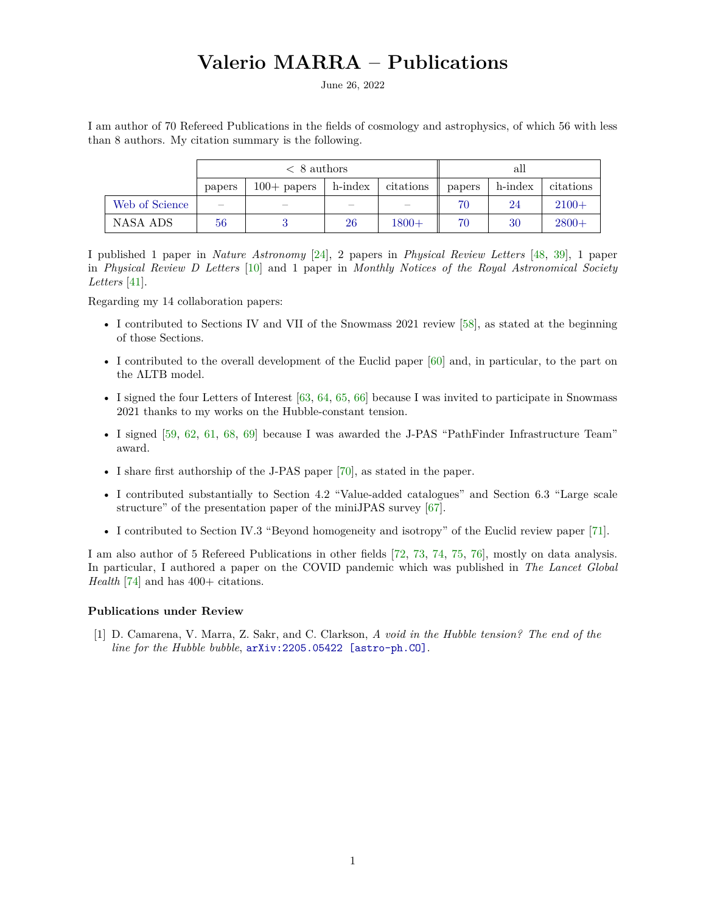### **Valerio MARRA – Publications**

June 26, 2022

I am author of 70 Refereed Publications in the fields of cosmology and astrophysics, of which 56 with less than 8 authors. My citation summary is the following.

|                | $\langle 8 \text{ authors}$ |                          |         |           | all    |         |           |
|----------------|-----------------------------|--------------------------|---------|-----------|--------|---------|-----------|
|                | papers                      | $100+$ papers            | h-index | citations | papers | h-index | citations |
| Web of Science | $\overline{\phantom{a}}$    | $\overline{\phantom{a}}$ |         |           | 70     | 24      | $2100+$   |
| NASA ADS       | 56                          |                          | 26      | $1800+$   | 70     | 30      | $2800+$   |

I published 1 paper in *Nature Astronomy* [\[24\]](#page-12-0), 2 papers in *Physical Review Letters* [\[48,](#page-13-0) [39\]](#page-13-1), 1 paper in *Physical Review D Letters* [\[10\]](#page-11-0) and 1 paper in *Monthly Notices of the Royal Astronomical Society Letters* [\[41\]](#page-13-2).

Regarding my 14 collaboration papers:

- I contributed to Sections IV and VII of the Snowmass 2021 review [\[58\]](#page-14-0), as stated at the beginning of those Sections.
- I contributed to the overall development of the Euclid paper [\[60\]](#page-14-1) and, in particular, to the part on the ΛLTB model.
- I signed the four Letters of Interest  $[63, 64, 65, 66]$  $[63, 64, 65, 66]$  $[63, 64, 65, 66]$  $[63, 64, 65, 66]$  $[63, 64, 65, 66]$  $[63, 64, 65, 66]$  $[63, 64, 65, 66]$  because I was invited to participate in Snowmass 2021 thanks to my works on the Hubble-constant tension.
- I signed [\[59,](#page-14-6) [62,](#page-14-7) [61,](#page-14-8) [68,](#page-14-9) [69\]](#page-14-10) because I was awarded the J-PAS "PathFinder Infrastructure Team" award.
- I share first authorship of the J-PAS paper [\[70\]](#page-14-11), as stated in the paper.
- I contributed substantially to Section 4.2 "Value-added catalogues" and Section 6.3 "Large scale structure" of the presentation paper of the miniJPAS survey [\[67\]](#page-14-12).
- I contributed to Section IV.3 "Beyond homogeneity and isotropy" of the Euclid review paper [\[71\]](#page-14-13).

I am also author of 5 Refereed Publications in other fields [\[72,](#page-14-14) [73,](#page-14-15) [74,](#page-14-16) [75,](#page-14-17) [76\]](#page-15-0), mostly on data analysis. In particular, I authored a paper on the COVID pandemic which was published in *The Lancet Global Health* [\[74\]](#page-14-16) and has 400+ citations.

#### **Publications under Review**

[1] D. Camarena, V. Marra, Z. Sakr, and C. Clarkson, *A void in the Hubble tension? The end of the line for the Hubble bubble*, [arXiv:2205.05422 \[astro-ph.CO\]](http://arxiv.org/abs/2205.05422).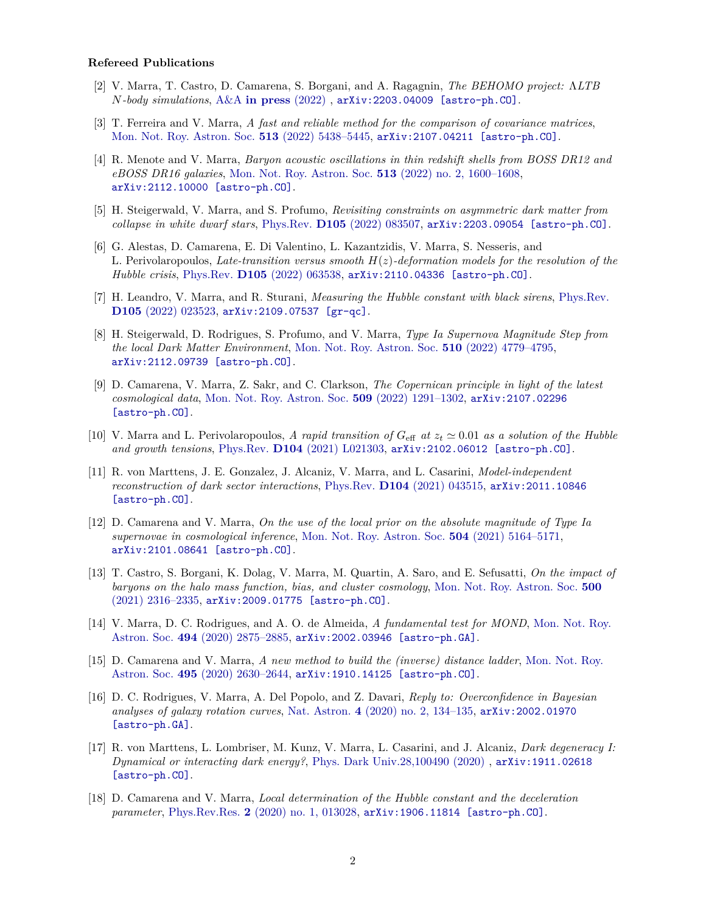#### **Refereed Publications**

- [2] V. Marra, T. Castro, D. Camarena, S. Borgani, and A. Ragagnin, *The BEHOMO project:* Λ*LTB N-body simulations*, A&A **[in press](http://dx.doi.org/10.1051/0004-6361/202243539)** (2022) , [arXiv:2203.04009 \[astro-ph.CO\]](http://arxiv.org/abs/2203.04009).
- [3] T. Ferreira and V. Marra, *A fast and reliable method for the comparison of covariance matrices*, [Mon. Not. Roy. Astron. Soc.](http://dx.doi.org/10.1093/mnras/stac1272) **513** (2022) 5438–5445, [arXiv:2107.04211 \[astro-ph.CO\]](http://arxiv.org/abs/2107.04211).
- [4] R. Menote and V. Marra, *Baryon acoustic oscillations in thin redshift shells from BOSS DR12 and eBOSS DR16 galaxies*, [Mon. Not. Roy. Astron. Soc.](http://dx.doi.org/10.1093/mnras/stac847) **513** (2022) no. 2, 1600–1608, [arXiv:2112.10000 \[astro-ph.CO\]](http://arxiv.org/abs/2112.10000).
- [5] H. Steigerwald, V. Marra, and S. Profumo, *Revisiting constraints on asymmetric dark matter from collapse in white dwarf stars*, Phys.Rev. **D105** [\(2022\) 083507,](http://dx.doi.org/10.1103/PhysRevD.105.083507) [arXiv:2203.09054 \[astro-ph.CO\]](http://arxiv.org/abs/2203.09054).
- [6] G. Alestas, D. Camarena, E. Di Valentino, L. Kazantzidis, V. Marra, S. Nesseris, and L. Perivolaropoulos, *Late-transition versus smooth H*(*z*)*-deformation models for the resolution of the Hubble crisis*, Phys.Rev. **D105** [\(2022\) 063538,](http://dx.doi.org/10.1103/PhysRevD.105.063538) [arXiv:2110.04336 \[astro-ph.CO\]](http://arxiv.org/abs/2110.04336).
- [7] H. Leandro, V. Marra, and R. Sturani, *Measuring the Hubble constant with black sirens*, [Phys.Rev.](http://dx.doi.org/10.1103/PhysRevD.105.023523) **D105** [\(2022\) 023523,](http://dx.doi.org/10.1103/PhysRevD.105.023523) [arXiv:2109.07537 \[gr-qc\]](http://arxiv.org/abs/2109.07537).
- [8] H. Steigerwald, D. Rodrigues, S. Profumo, and V. Marra, *Type Ia Supernova Magnitude Step from the local Dark Matter Environment*, [Mon. Not. Roy. Astron. Soc.](http://dx.doi.org/10.1093/mnras/stab3747) **510** (2022) 4779–4795, [arXiv:2112.09739 \[astro-ph.CO\]](http://arxiv.org/abs/2112.09739).
- [9] D. Camarena, V. Marra, Z. Sakr, and C. Clarkson, *The Copernican principle in light of the latest cosmological data*, [Mon. Not. Roy. Astron. Soc.](http://dx.doi.org/10.1093/mnras/stab3077) **509** (2022) 1291–1302, [arXiv:2107.02296](http://arxiv.org/abs/2107.02296) [\[astro-ph.CO\]](http://arxiv.org/abs/2107.02296).
- <span id="page-11-0"></span>[10] V. Marra and L. Perivolaropoulos, *A rapid transition of*  $G_{\text{eff}}$  *at*  $z_t \approx 0.01$  *as a solution of the Hubble and growth tensions*, Phys.Rev. **D104** [\(2021\) L021303,](http://dx.doi.org/10.1103/PhysRevD.104.L021303) [arXiv:2102.06012 \[astro-ph.CO\]](http://arxiv.org/abs/2102.06012).
- [11] R. von Marttens, J. E. Gonzalez, J. Alcaniz, V. Marra, and L. Casarini, *Model-independent reconstruction of dark sector interactions*, Phys.Rev. **D104** [\(2021\) 043515,](http://dx.doi.org/10.1103/PhysRevD.104.043515) [arXiv:2011.10846](http://arxiv.org/abs/2011.10846) [\[astro-ph.CO\]](http://arxiv.org/abs/2011.10846).
- [12] D. Camarena and V. Marra, *On the use of the local prior on the absolute magnitude of Type Ia supernovae in cosmological inference*, [Mon. Not. Roy. Astron. Soc.](http://dx.doi.org/10.1093/mnras/stab1200) **504** (2021) 5164–5171, [arXiv:2101.08641 \[astro-ph.CO\]](http://arxiv.org/abs/2101.08641).
- [13] T. Castro, S. Borgani, K. Dolag, V. Marra, M. Quartin, A. Saro, and E. Sefusatti, *On the impact of baryons on the halo mass function, bias, and cluster cosmology*, [Mon. Not. Roy. Astron. Soc.](http://dx.doi.org/10.1093/mnras/staa3473) **500** [\(2021\) 2316–2335,](http://dx.doi.org/10.1093/mnras/staa3473) [arXiv:2009.01775 \[astro-ph.CO\]](http://arxiv.org/abs/2009.01775).
- [14] V. Marra, D. C. Rodrigues, and A. O. de Almeida, *A fundamental test for MOND*, [Mon. Not. Roy.](http://dx.doi.org/10.1093/mnras/staa890) Astron. Soc. **494** [\(2020\) 2875–2885,](http://dx.doi.org/10.1093/mnras/staa890) [arXiv:2002.03946 \[astro-ph.GA\]](http://arxiv.org/abs/2002.03946).
- [15] D. Camarena and V. Marra, *A new method to build the (inverse) distance ladder*, [Mon. Not. Roy.](http://dx.doi.org/10.1093/mnras/staa770) Astron. Soc. **495** [\(2020\) 2630–2644,](http://dx.doi.org/10.1093/mnras/staa770) [arXiv:1910.14125 \[astro-ph.CO\]](http://arxiv.org/abs/1910.14125).
- [16] D. C. Rodrigues, V. Marra, A. Del Popolo, and Z. Davari, *Reply to: Overconfidence in Bayesian analyses of galaxy rotation curves*, Nat. Astron. **4** [\(2020\) no. 2, 134–135,](http://dx.doi.org/10.1038/s41550-019-0999-1) [arXiv:2002.01970](http://arxiv.org/abs/2002.01970) [\[astro-ph.GA\]](http://arxiv.org/abs/2002.01970).
- [17] R. von Marttens, L. Lombriser, M. Kunz, V. Marra, L. Casarini, and J. Alcaniz, *Dark degeneracy I: Dynamical or interacting dark energy?*, [Phys. Dark Univ.28,100490 \(2020\)](http://dx.doi.org/10.1016/j.dark.2020.100490) , [arXiv:1911.02618](http://arxiv.org/abs/1911.02618) [\[astro-ph.CO\]](http://arxiv.org/abs/1911.02618).
- [18] D. Camarena and V. Marra, *Local determination of the Hubble constant and the deceleration parameter*, Phys.Rev.Res. **2** [\(2020\) no. 1, 013028,](http://dx.doi.org/10.1103/PhysRevResearch.2.013028) [arXiv:1906.11814 \[astro-ph.CO\]](http://arxiv.org/abs/1906.11814).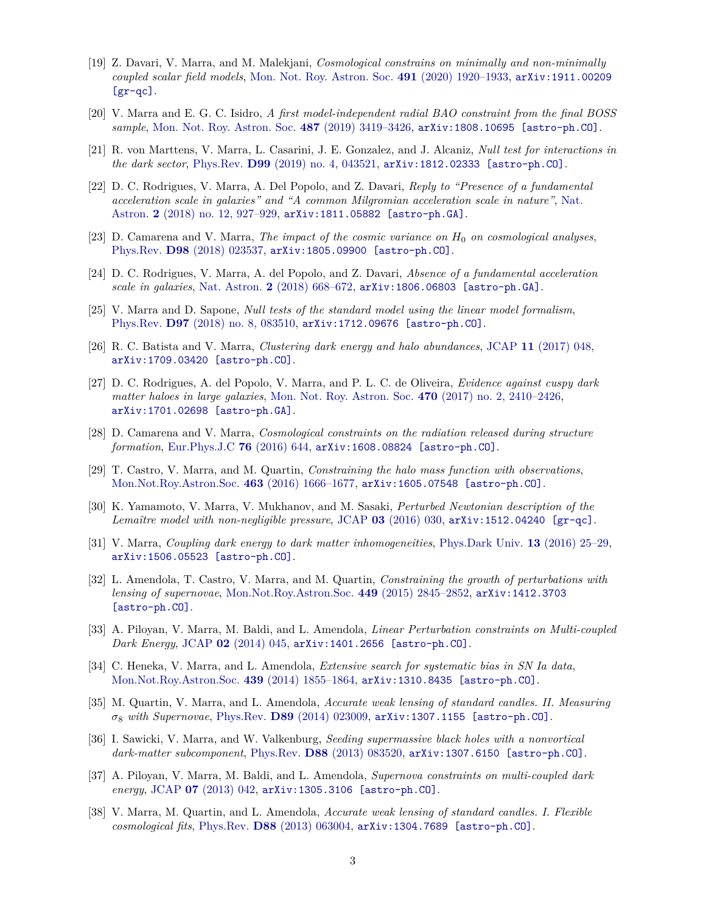- [19] Z. Davari, V. Marra, and M. Malekjani, *Cosmological constrains on minimally and non-minimally coupled scalar field models*, [Mon. Not. Roy. Astron. Soc.](http://dx.doi.org/10.1093/mnras/stz3096) **491** (2020) 1920–1933, [arXiv:1911.00209](http://arxiv.org/abs/1911.00209) [\[gr-qc\]](http://arxiv.org/abs/1911.00209).
- [20] V. Marra and E. G. C. Isidro, *A first model-independent radial BAO constraint from the final BOSS sample*, [Mon. Not. Roy. Astron. Soc.](http://dx.doi.org/10.1093/mnras/stz1557) **487** (2019) 3419–3426, [arXiv:1808.10695 \[astro-ph.CO\]](http://arxiv.org/abs/1808.10695).
- [21] R. von Marttens, V. Marra, L. Casarini, J. E. Gonzalez, and J. Alcaniz, *Null test for interactions in the dark sector*, Phys.Rev. **D99** [\(2019\) no. 4, 043521,](http://dx.doi.org/10.1103/PhysRevD.99.043521) [arXiv:1812.02333 \[astro-ph.CO\]](http://arxiv.org/abs/1812.02333).
- [22] D. C. Rodrigues, V. Marra, A. Del Popolo, and Z. Davari, *Reply to "Presence of a fundamental acceleration scale in galaxies" and "A common Milgromian acceleration scale in nature"*, [Nat.](http://dx.doi.org/10.1038/s41550-018-0614-x) Astron. **2** [\(2018\) no. 12, 927–929,](http://dx.doi.org/10.1038/s41550-018-0614-x) [arXiv:1811.05882 \[astro-ph.GA\]](http://arxiv.org/abs/1811.05882).
- [23] D. Camarena and V. Marra, *The impact of the cosmic variance on H*<sup>0</sup> *on cosmological analyses*, Phys.Rev. **D98** [\(2018\) 023537,](http://dx.doi.org/10.1103/PhysRevD.98.023537) [arXiv:1805.09900 \[astro-ph.CO\]](http://arxiv.org/abs/1805.09900).
- <span id="page-12-0"></span>[24] D. C. Rodrigues, V. Marra, A. del Popolo, and Z. Davari, *Absence of a fundamental acceleration scale in galaxies*, Nat. Astron. **2** [\(2018\) 668–672,](http://dx.doi.org/10.1038/s41550-018-0498-9) [arXiv:1806.06803 \[astro-ph.GA\]](http://arxiv.org/abs/1806.06803).
- [25] V. Marra and D. Sapone, *Null tests of the standard model using the linear model formalism*, Phys.Rev. **D97** [\(2018\) no. 8, 083510,](http://dx.doi.org/10.1103/PhysRevD.97.083510) [arXiv:1712.09676 \[astro-ph.CO\]](http://arxiv.org/abs/1712.09676).
- [26] R. C. Batista and V. Marra, *Clustering dark energy and halo abundances*, JCAP **11** [\(2017\) 048,](http://dx.doi.org/10.1088/1475-7516/2017/11/048) [arXiv:1709.03420 \[astro-ph.CO\]](http://arxiv.org/abs/1709.03420).
- [27] D. C. Rodrigues, A. del Popolo, V. Marra, and P. L. C. de Oliveira, *Evidence against cuspy dark matter haloes in large galaxies*, [Mon. Not. Roy. Astron. Soc.](http://dx.doi.org/10.1093/mnras/stx1384) **470** (2017) no. 2, 2410–2426, [arXiv:1701.02698 \[astro-ph.GA\]](http://arxiv.org/abs/1701.02698).
- [28] D. Camarena and V. Marra, *Cosmological constraints on the radiation released during structure formation*, [Eur.Phys.J.C](http://dx.doi.org/10.1140/epjc/s10052-016-4517-7) **76** (2016) 644, [arXiv:1608.08824 \[astro-ph.CO\]](http://arxiv.org/abs/1608.08824).
- [29] T. Castro, V. Marra, and M. Quartin, *Constraining the halo mass function with observations*, [Mon.Not.Roy.Astron.Soc.](http://dx.doi.org/10.1093/mnras/stw2072) **463** (2016) 1666–1677, [arXiv:1605.07548 \[astro-ph.CO\]](http://arxiv.org/abs/1605.07548).
- [30] K. Yamamoto, V. Marra, V. Mukhanov, and M. Sasaki, *Perturbed Newtonian description of the Lemaître model with non-negligible pressure*, JCAP **03** [\(2016\) 030,](http://dx.doi.org/10.1088/1475-7516/2016/03/030) [arXiv:1512.04240 \[gr-qc\]](http://arxiv.org/abs/1512.04240).
- [31] V. Marra, *Coupling dark energy to dark matter inhomogeneities*, [Phys.Dark Univ.](http://dx.doi.org/10.1016/j.dark.2016.04.001) **13** (2016) 25–29, [arXiv:1506.05523 \[astro-ph.CO\]](http://arxiv.org/abs/1506.05523).
- [32] L. Amendola, T. Castro, V. Marra, and M. Quartin, *Constraining the growth of perturbations with lensing of supernovae*, [Mon.Not.Roy.Astron.Soc.](http://dx.doi.org/10.1093/mnras/stv497) **449** (2015) 2845–2852, [arXiv:1412.3703](http://arxiv.org/abs/1412.3703) [\[astro-ph.CO\]](http://arxiv.org/abs/1412.3703).
- [33] A. Piloyan, V. Marra, M. Baldi, and L. Amendola, *Linear Perturbation constraints on Multi-coupled Dark Energy*, JCAP **02** [\(2014\) 045,](http://dx.doi.org/10.1088/1475-7516/2014/02/045) [arXiv:1401.2656 \[astro-ph.CO\]](http://arxiv.org/abs/1401.2656).
- [34] C. Heneka, V. Marra, and L. Amendola, *Extensive search for systematic bias in SN Ia data*, [Mon.Not.Roy.Astron.Soc.](http://dx.doi.org/10.1093/mnras/stu066) **439** (2014) 1855–1864, [arXiv:1310.8435 \[astro-ph.CO\]](http://arxiv.org/abs/1310.8435).
- [35] M. Quartin, V. Marra, and L. Amendola, *Accurate weak lensing of standard candles. II. Measuring σ*<sup>8</sup> *with Supernovae*, Phys.Rev. **D89** [\(2014\) 023009,](http://dx.doi.org/10.1103/PhysRevD.89.023009) [arXiv:1307.1155 \[astro-ph.CO\]](http://arxiv.org/abs/1307.1155).
- [36] I. Sawicki, V. Marra, and W. Valkenburg, *Seeding supermassive black holes with a nonvortical dark-matter subcomponent*, Phys.Rev. **D88** [\(2013\) 083520,](http://dx.doi.org/10.1103/PhysRevD.88.083520) [arXiv:1307.6150 \[astro-ph.CO\]](http://arxiv.org/abs/1307.6150).
- [37] A. Piloyan, V. Marra, M. Baldi, and L. Amendola, *Supernova constraints on multi-coupled dark energy*, JCAP **07** [\(2013\) 042,](http://dx.doi.org/10.1088/1475-7516/2013/07/042) [arXiv:1305.3106 \[astro-ph.CO\]](http://arxiv.org/abs/1305.3106).
- [38] V. Marra, M. Quartin, and L. Amendola, *Accurate weak lensing of standard candles. I. Flexible cosmological fits*, Phys.Rev. **D88** [\(2013\) 063004,](http://dx.doi.org/10.1103/PhysRevD.88.063004) [arXiv:1304.7689 \[astro-ph.CO\]](http://arxiv.org/abs/1304.7689).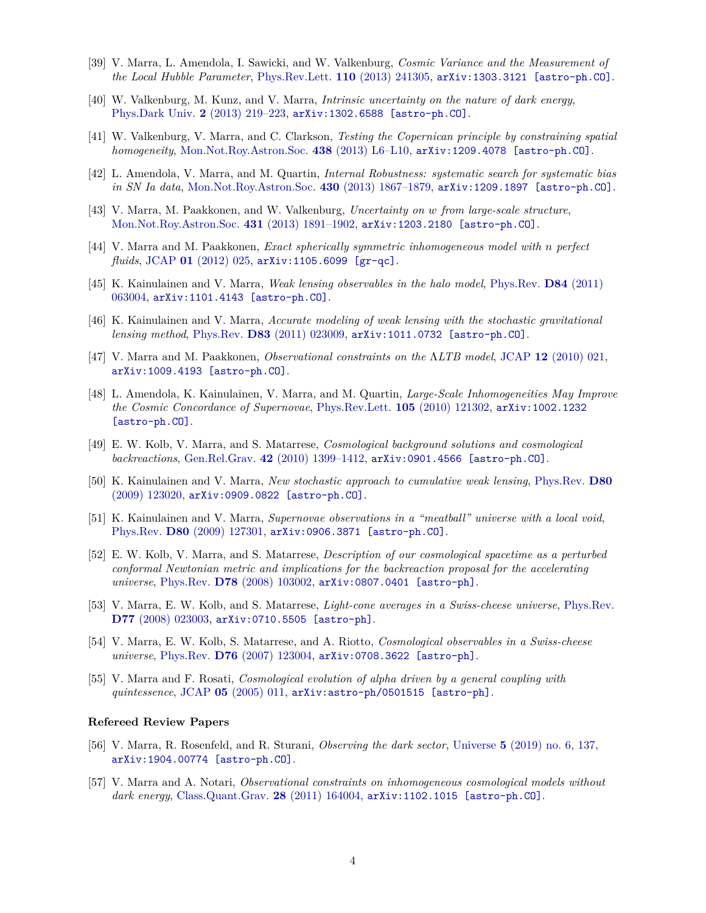- <span id="page-13-1"></span>[39] V. Marra, L. Amendola, I. Sawicki, and W. Valkenburg, *Cosmic Variance and the Measurement of the Local Hubble Parameter*, [Phys.Rev.Lett.](http://dx.doi.org/10.1103/PhysRevLett.110.241305) **110** (2013) 241305, [arXiv:1303.3121 \[astro-ph.CO\]](http://arxiv.org/abs/1303.3121).
- [40] W. Valkenburg, M. Kunz, and V. Marra, *Intrinsic uncertainty on the nature of dark energy*, [Phys.Dark Univ.](http://dx.doi.org/10.1016/j.dark.2014.01.001) **2** (2013) 219–223, [arXiv:1302.6588 \[astro-ph.CO\]](http://arxiv.org/abs/1302.6588).
- <span id="page-13-2"></span>[41] W. Valkenburg, V. Marra, and C. Clarkson, *Testing the Copernican principle by constraining spatial homogeneity*, [Mon.Not.Roy.Astron.Soc.](http://dx.doi.org/10.1093/mnrasl/slt140) **438** (2013) L6–L10, [arXiv:1209.4078 \[astro-ph.CO\]](http://arxiv.org/abs/1209.4078).
- [42] L. Amendola, V. Marra, and M. Quartin, *Internal Robustness: systematic search for systematic bias in SN Ia data*, [Mon.Not.Roy.Astron.Soc.](http://dx.doi.org/10.1093/mnras/stt008) **430** (2013) 1867–1879, [arXiv:1209.1897 \[astro-ph.CO\]](http://arxiv.org/abs/1209.1897).
- [43] V. Marra, M. Paakkonen, and W. Valkenburg, *Uncertainty on w from large-scale structure*, [Mon.Not.Roy.Astron.Soc.](http://dx.doi.org/10.1093/mnras/stt309) **431** (2013) 1891–1902, [arXiv:1203.2180 \[astro-ph.CO\]](http://arxiv.org/abs/1203.2180).
- [44] V. Marra and M. Paakkonen, *Exact spherically symmetric inhomogeneous model with n perfect fluids*, JCAP **01** [\(2012\) 025,](http://dx.doi.org/10.1088/1475-7516/2012/01/025) [arXiv:1105.6099 \[gr-qc\]](http://arxiv.org/abs/1105.6099).
- [45] K. Kainulainen and V. Marra, *Weak lensing observables in the halo model*, [Phys.Rev.](http://dx.doi.org/10.1103/PhysRevD.84.063004) **D84** (2011) [063004,](http://dx.doi.org/10.1103/PhysRevD.84.063004) [arXiv:1101.4143 \[astro-ph.CO\]](http://arxiv.org/abs/1101.4143).
- [46] K. Kainulainen and V. Marra, *Accurate modeling of weak lensing with the stochastic gravitational lensing method*, Phys.Rev. **D83** [\(2011\) 023009,](http://dx.doi.org/10.1103/PhysRevD.83.023009) [arXiv:1011.0732 \[astro-ph.CO\]](http://arxiv.org/abs/1011.0732).
- [47] V. Marra and M. Paakkonen, *Observational constraints on the* Λ*LTB model*, JCAP **12** [\(2010\) 021,](http://dx.doi.org/10.1088/1475-7516/2010/12/021) [arXiv:1009.4193 \[astro-ph.CO\]](http://arxiv.org/abs/1009.4193).
- <span id="page-13-0"></span>[48] L. Amendola, K. Kainulainen, V. Marra, and M. Quartin, *Large-Scale Inhomogeneities May Improve the Cosmic Concordance of Supernovae*, [Phys.Rev.Lett.](http://dx.doi.org/10.1103/PhysRevLett.105.121302) **105** (2010) 121302, [arXiv:1002.1232](http://arxiv.org/abs/1002.1232) [\[astro-ph.CO\]](http://arxiv.org/abs/1002.1232).
- [49] E. W. Kolb, V. Marra, and S. Matarrese, *Cosmological background solutions and cosmological backreactions*, Gen.Rel.Grav. **42** [\(2010\) 1399–1412,](http://dx.doi.org/10.1007/s10714-009-0913-8) [arXiv:0901.4566 \[astro-ph.CO\]](http://arxiv.org/abs/0901.4566).
- [50] K. Kainulainen and V. Marra, *New stochastic approach to cumulative weak lensing*, [Phys.Rev.](http://dx.doi.org/10.1103/PhysRevD.80.123020) **D80** [\(2009\) 123020,](http://dx.doi.org/10.1103/PhysRevD.80.123020) [arXiv:0909.0822 \[astro-ph.CO\]](http://arxiv.org/abs/0909.0822).
- [51] K. Kainulainen and V. Marra, *Supernovae observations in a "meatball" universe with a local void*, Phys.Rev. **D80** [\(2009\) 127301,](http://dx.doi.org/10.1103/PhysRevD.80.127301) [arXiv:0906.3871 \[astro-ph.CO\]](http://arxiv.org/abs/0906.3871).
- [52] E. W. Kolb, V. Marra, and S. Matarrese, *Description of our cosmological spacetime as a perturbed conformal Newtonian metric and implications for the backreaction proposal for the accelerating universe*, Phys.Rev. **D78** [\(2008\) 103002,](http://dx.doi.org/10.1103/PhysRevD.78.103002) [arXiv:0807.0401 \[astro-ph\]](http://arxiv.org/abs/0807.0401).
- [53] V. Marra, E. W. Kolb, and S. Matarrese, *Light-cone averages in a Swiss-cheese universe*, [Phys.Rev.](http://dx.doi.org/10.1103/PhysRevD.77.023003) **D77** [\(2008\) 023003,](http://dx.doi.org/10.1103/PhysRevD.77.023003) [arXiv:0710.5505 \[astro-ph\]](http://arxiv.org/abs/0710.5505).
- [54] V. Marra, E. W. Kolb, S. Matarrese, and A. Riotto, *Cosmological observables in a Swiss-cheese universe*, Phys.Rev. **D76** [\(2007\) 123004,](http://dx.doi.org/10.1103/PhysRevD.76.123004) [arXiv:0708.3622 \[astro-ph\]](http://arxiv.org/abs/0708.3622).
- [55] V. Marra and F. Rosati, *Cosmological evolution of alpha driven by a general coupling with quintessence*, JCAP **05** [\(2005\) 011,](http://dx.doi.org/10.1088/1475-7516/2005/05/011) [arXiv:astro-ph/0501515 \[astro-ph\]](http://arxiv.org/abs/astro-ph/0501515).

#### **Refereed Review Papers**

- [56] V. Marra, R. Rosenfeld, and R. Sturani, *Observing the dark sector*, Universe **5** [\(2019\) no. 6, 137,](http://dx.doi.org/10.3390/universe5060137) [arXiv:1904.00774 \[astro-ph.CO\]](http://arxiv.org/abs/1904.00774).
- [57] V. Marra and A. Notari, *Observational constraints on inhomogeneous cosmological models without dark energy*, [Class.Quant.Grav.](http://dx.doi.org/10.1088/0264-9381/28/16/164004) **28** (2011) 164004, [arXiv:1102.1015 \[astro-ph.CO\]](http://arxiv.org/abs/1102.1015).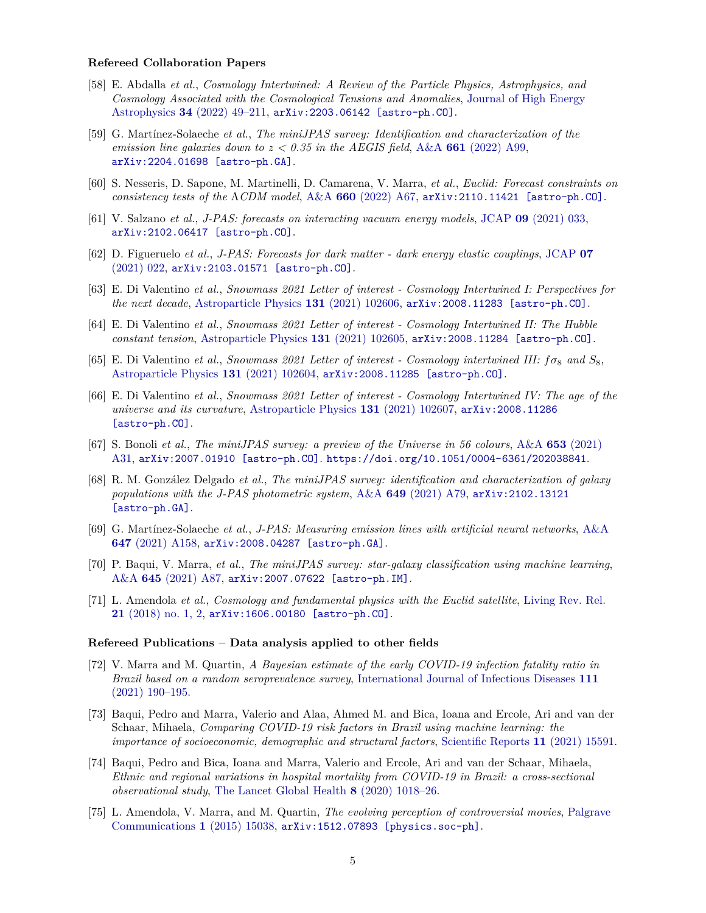#### **Refereed Collaboration Papers**

- <span id="page-14-0"></span>[58] E. Abdalla *et al.*, *Cosmology Intertwined: A Review of the Particle Physics, Astrophysics, and Cosmology Associated with the Cosmological Tensions and Anomalies*, [Journal of High Energy](http://dx.doi.org/10.1016/j.jheap.2022.04.002) Astrophysics **34** [\(2022\) 49–211,](http://dx.doi.org/10.1016/j.jheap.2022.04.002) [arXiv:2203.06142 \[astro-ph.CO\]](http://arxiv.org/abs/2203.06142).
- <span id="page-14-6"></span>[59] G. Martínez-Solaeche *et al.*, *The miniJPAS survey: Identification and characterization of the emission line galaxies down to*  $z < 0.35$  *in the AEGIS field, A&A 661 [\(2022\) A99,](http://dx.doi.org/10.1051/0004-6361/202142812)* [arXiv:2204.01698 \[astro-ph.GA\]](http://arxiv.org/abs/2204.01698).
- <span id="page-14-1"></span>[60] S. Nesseris, D. Sapone, M. Martinelli, D. Camarena, V. Marra, *et al.*, *Euclid: Forecast constraints on consistency tests of the* Λ*CDM model*, A&A **660** [\(2022\) A67,](http://dx.doi.org/10.1051/0004-6361/202142503) [arXiv:2110.11421 \[astro-ph.CO\]](http://arxiv.org/abs/2110.11421).
- <span id="page-14-8"></span>[61] V. Salzano *et al.*, *J-PAS: forecasts on interacting vacuum energy models*, JCAP **09** [\(2021\) 033,](http://dx.doi.org/10.1088/1475-7516/2021/09/033) [arXiv:2102.06417 \[astro-ph.CO\]](http://arxiv.org/abs/2102.06417).
- <span id="page-14-7"></span>[62] D. Figueruelo *et al.*, *J-PAS: Forecasts for dark matter - dark energy elastic couplings*, [JCAP](http://dx.doi.org/10.1088/1475-7516/2021/07/022) **07** [\(2021\) 022,](http://dx.doi.org/10.1088/1475-7516/2021/07/022) [arXiv:2103.01571 \[astro-ph.CO\]](http://arxiv.org/abs/2103.01571).
- <span id="page-14-2"></span>[63] E. Di Valentino *et al.*, *Snowmass 2021 Letter of interest - Cosmology Intertwined I: Perspectives for the next decade*, [Astroparticle Physics](http://dx.doi.org/10.1016/j.astropartphys.2021.102606) **131** (2021) 102606, [arXiv:2008.11283 \[astro-ph.CO\]](http://arxiv.org/abs/2008.11283).
- <span id="page-14-3"></span>[64] E. Di Valentino *et al.*, *Snowmass 2021 Letter of interest - Cosmology Intertwined II: The Hubble constant tension*, [Astroparticle Physics](http://dx.doi.org/10.1016/j.astropartphys.2021.102605) **131** (2021) 102605, [arXiv:2008.11284 \[astro-ph.CO\]](http://arxiv.org/abs/2008.11284).
- <span id="page-14-4"></span>[65] E. Di Valentino *et al.*, *Snowmass 2021 Letter of interest - Cosmology intertwined III: fσ*<sup>8</sup> *and S*8, [Astroparticle Physics](http://dx.doi.org/10.1016/j.astropartphys.2021.102604) **131** (2021) 102604, [arXiv:2008.11285 \[astro-ph.CO\]](http://arxiv.org/abs/2008.11285).
- <span id="page-14-5"></span>[66] E. Di Valentino *et al.*, *Snowmass 2021 Letter of interest - Cosmology Intertwined IV: The age of the universe and its curvature*, [Astroparticle Physics](http://dx.doi.org/10.1016/j.astropartphys.2021.102607) **131** (2021) 102607, [arXiv:2008.11286](http://arxiv.org/abs/2008.11286) [\[astro-ph.CO\]](http://arxiv.org/abs/2008.11286).
- <span id="page-14-12"></span>[67] S. Bonoli *et al.*, *The miniJPAS survey: a preview of the Universe in 56 colours*, A&A **653** [\(2021\)](http://dx.doi.org/10.1051/0004-6361/202038841) [A31,](http://dx.doi.org/10.1051/0004-6361/202038841) [arXiv:2007.01910 \[astro-ph.CO\]](http://arxiv.org/abs/2007.01910). <https://doi.org/10.1051/0004-6361/202038841>.
- <span id="page-14-9"></span>[68] R. M. González Delgado *et al.*, *The miniJPAS survey: identification and characterization of galaxy populations with the J-PAS photometric system*, A&A **649** [\(2021\) A79,](http://dx.doi.org/10.1051/0004-6361/202039849) [arXiv:2102.13121](http://arxiv.org/abs/2102.13121) [\[astro-ph.GA\]](http://arxiv.org/abs/2102.13121).
- <span id="page-14-10"></span>[69] G. Martínez-Solaeche *et al.*, *J-PAS: Measuring emission lines with artificial neural networks*, [A&A](http://dx.doi.org/10.1051/0004-6361/202039146) **647** [\(2021\) A158,](http://dx.doi.org/10.1051/0004-6361/202039146) [arXiv:2008.04287 \[astro-ph.GA\]](http://arxiv.org/abs/2008.04287).
- <span id="page-14-11"></span>[70] P. Baqui, V. Marra, *et al.*, *The miniJPAS survey: star-galaxy classification using machine learning*, A&A **645** [\(2021\) A87,](http://dx.doi.org/10.1051/0004-6361/202038986) [arXiv:2007.07622 \[astro-ph.IM\]](http://arxiv.org/abs/2007.07622).
- <span id="page-14-13"></span>[71] L. Amendola *et al.*, *Cosmology and fundamental physics with the Euclid satellite*, [Living Rev. Rel.](http://dx.doi.org/10.1007/s41114-017-0010-3) **21** [\(2018\) no. 1, 2,](http://dx.doi.org/10.1007/s41114-017-0010-3) [arXiv:1606.00180 \[astro-ph.CO\]](http://arxiv.org/abs/1606.00180).

#### **Refereed Publications – Data analysis applied to other fields**

- <span id="page-14-14"></span>[72] V. Marra and M. Quartin, *A Bayesian estimate of the early COVID-19 infection fatality ratio in Brazil based on a random seroprevalence survey*, [International Journal of Infectious Diseases](http://dx.doi.org/https://doi.org/10.1016/j.ijid.2021.08.016) **111** [\(2021\) 190–195.](http://dx.doi.org/https://doi.org/10.1016/j.ijid.2021.08.016)
- <span id="page-14-15"></span>[73] Baqui, Pedro and Marra, Valerio and Alaa, Ahmed M. and Bica, Ioana and Ercole, Ari and van der Schaar, Mihaela, *Comparing COVID-19 risk factors in Brazil using machine learning: the importance of socioeconomic, demographic and structural factors*, [Scientific Reports](http://dx.doi.org/10.1038/s41598-021-95004-8) **11** (2021) 15591.
- <span id="page-14-16"></span>[74] Baqui, Pedro and Bica, Ioana and Marra, Valerio and Ercole, Ari and van der Schaar, Mihaela, *Ethnic and regional variations in hospital mortality from COVID-19 in Brazil: a cross-sectional observational study*, [The Lancet Global Health](http://dx.doi.org/10.1016/S2214-109X(20)30285-0) **8** (2020) 1018–26.
- <span id="page-14-17"></span>[75] L. Amendola, V. Marra, and M. Quartin, *The evolving perception of controversial movies*, [Palgrave](http://dx.doi.org/10.1057/palcomms.2015.38) [Communications](http://dx.doi.org/10.1057/palcomms.2015.38) **1** (2015) 15038, [arXiv:1512.07893 \[physics.soc-ph\]](http://arxiv.org/abs/1512.07893).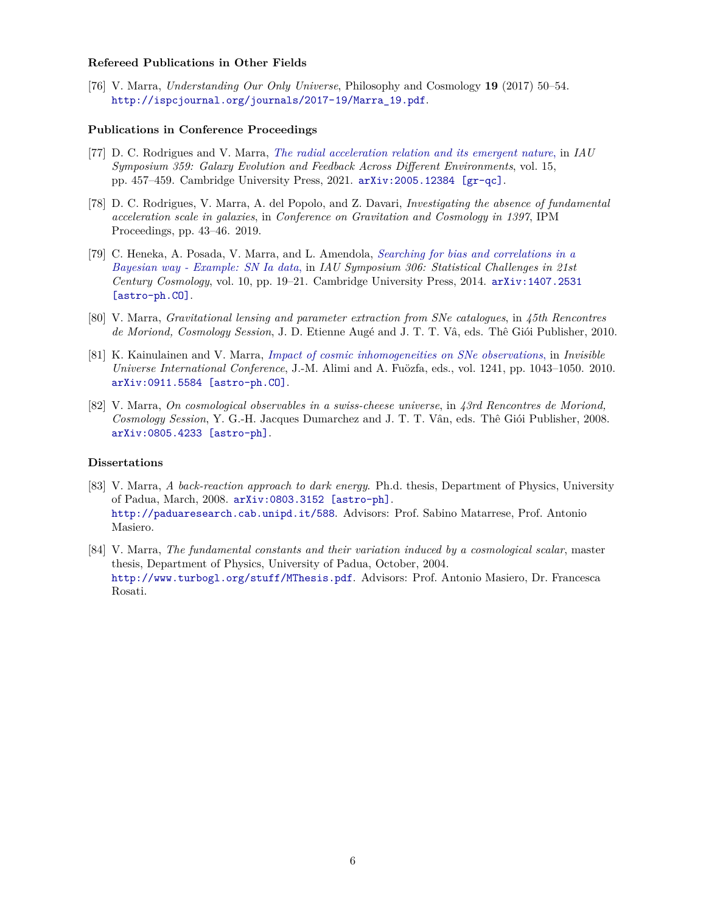#### **Refereed Publications in Other Fields**

<span id="page-15-0"></span>[76] V. Marra, *Understanding Our Only Universe*, Philosophy and Cosmology **19** (2017) 50–54. [http://ispcjournal.org/journals/2017-19/Marra\\_19.pdf](http://ispcjournal.org/journals/2017-19/Marra_19.pdf).

#### **Publications in Conference Proceedings**

- [77] D. C. Rodrigues and V. Marra, *[The radial acceleration relation and its emergent nature](http://dx.doi.org/10.1017/S1743921320001684)*, in *IAU Symposium 359: Galaxy Evolution and Feedback Across Different Environments*, vol. 15, pp. 457–459. Cambridge University Press, 2021. [arXiv:2005.12384 \[gr-qc\]](http://arxiv.org/abs/2005.12384).
- [78] D. C. Rodrigues, V. Marra, A. del Popolo, and Z. Davari, *Investigating the absence of fundamental acceleration scale in galaxies*, in *Conference on Gravitation and Cosmology in 1397*, IPM Proceedings, pp. 43–46. 2019.
- [79] C. Heneka, A. Posada, V. Marra, and L. Amendola, *[Searching for bias and correlations in a](http://dx.doi.org/10.1017/S1743921315000010) [Bayesian way - Example: SN Ia data](http://dx.doi.org/10.1017/S1743921315000010)*, in *IAU Symposium 306: Statistical Challenges in 21st Century Cosmology*, vol. 10, pp. 19–21. Cambridge University Press, 2014. [arXiv:1407.2531](http://arxiv.org/abs/1407.2531) [\[astro-ph.CO\]](http://arxiv.org/abs/1407.2531).
- [80] V. Marra, *Gravitational lensing and parameter extraction from SNe catalogues*, in *45th Rencontres de Moriond, Cosmology Session*, J. D. Etienne Augé and J. T. T. Vâ, eds. Thê Giói Publisher, 2010.
- [81] K. Kainulainen and V. Marra, *[Impact of cosmic inhomogeneities on SNe observations](http://dx.doi.org/10.1063/1.3462598)*, in *Invisible Universe International Conference*, J.-M. Alimi and A. Fuözfa, eds., vol. 1241, pp. 1043–1050. 2010. [arXiv:0911.5584 \[astro-ph.CO\]](http://arxiv.org/abs/0911.5584).
- [82] V. Marra, *On cosmological observables in a swiss-cheese universe*, in *43rd Rencontres de Moriond, Cosmology Session*, Y. G.-H. Jacques Dumarchez and J. T. T. Vân, eds. Thê Giói Publisher, 2008. [arXiv:0805.4233 \[astro-ph\]](http://arxiv.org/abs/0805.4233).

#### **Dissertations**

- [83] V. Marra, *A back-reaction approach to dark energy*. Ph.d. thesis, Department of Physics, University of Padua, March, 2008. [arXiv:0803.3152 \[astro-ph\]](http://arxiv.org/abs/0803.3152). <http://paduaresearch.cab.unipd.it/588>. Advisors: Prof. Sabino Matarrese, Prof. Antonio Masiero.
- [84] V. Marra, *The fundamental constants and their variation induced by a cosmological scalar*, master thesis, Department of Physics, University of Padua, October, 2004. <http://www.turbogl.org/stuff/MThesis.pdf>. Advisors: Prof. Antonio Masiero, Dr. Francesca Rosati.